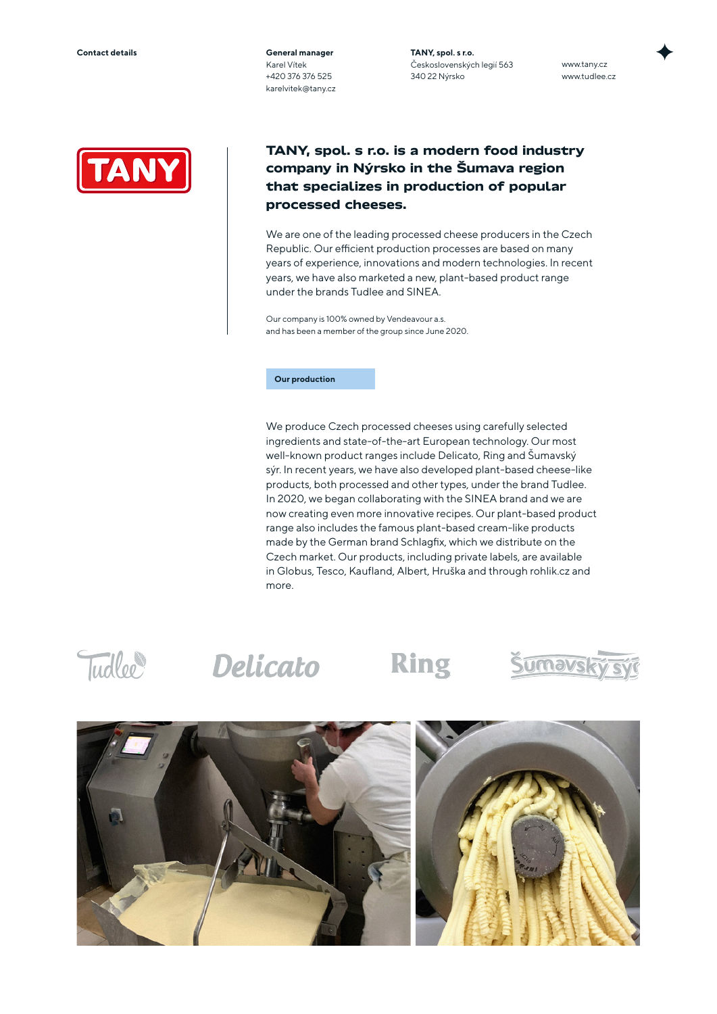**General manager** Karel Vítek +420 376 376 525 karelvitek@tany.cz **TANY, spol. s r.o.** Československých legií 563 340 22 Nýrsko

www.tany.cz www.tudlee.cz



## **TANY, spol. s r.o. is a modern food industry company in Nýrsko in the Šumava region that specializes in production of popular processed cheeses.**

We are one of the leading processed cheese producers in the Czech Republic. Our efficient production processes are based on many years of experience, innovations and modern technologies. In recent years, we have also marketed a new, plant-based product range under the brands Tudlee and SINEA.

Our company is 100% owned by Vendeavour a.s. and has been a member of the group since June 2020.

## **Our production**

We produce Czech processed cheeses using carefully selected ingredients and state-of-the-art European technology. Our most well-known product ranges include Delicato, Ring and Šumavský sýr. In recent years, we have also developed plant-based cheese-like products, both processed and other types, under the brand Tudlee. In 2020, we began collaborating with the SINEA brand and we are now creating even more innovative recipes. Our plant-based product range also includes the famous plant-based cream-like products made by the German brand Schlagfix, which we distribute on the Czech market. Our products, including private labels, are available in Globus, Tesco, Kaufland, Albert, Hruška and through rohlik.cz and more.

Tudlee